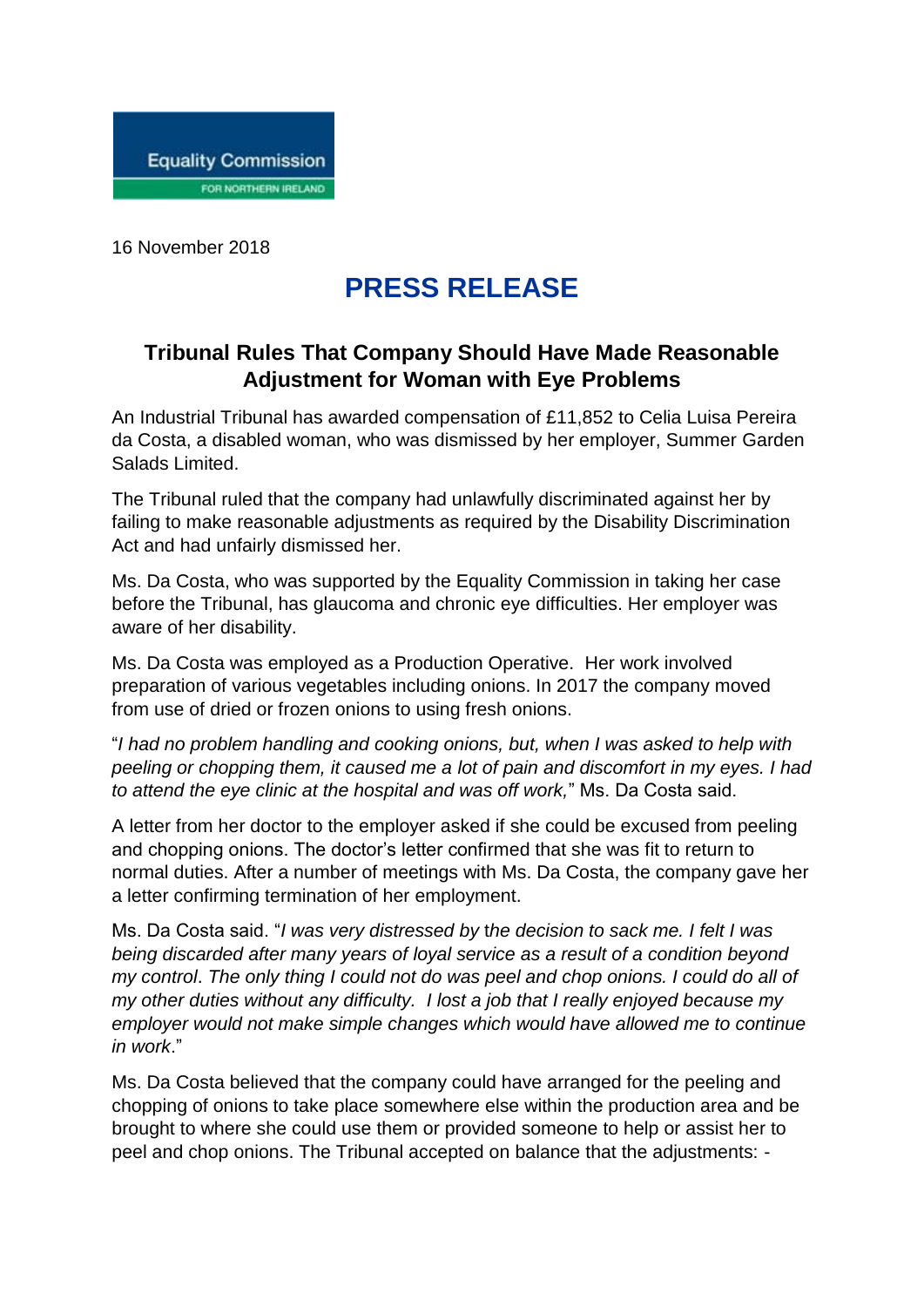

16 November 2018

## **PRESS RELEASE**

## **Tribunal Rules That Company Should Have Made Reasonable Adjustment for Woman with Eye Problems**

An Industrial Tribunal has awarded compensation of £11,852 to Celia Luisa Pereira da Costa, a disabled woman, who was dismissed by her employer, Summer Garden Salads Limited.

The Tribunal ruled that the company had unlawfully discriminated against her by failing to make reasonable adjustments as required by the Disability Discrimination Act and had unfairly dismissed her.

Ms. Da Costa, who was supported by the Equality Commission in taking her case before the Tribunal, has glaucoma and chronic eye difficulties. Her employer was aware of her disability.

Ms. Da Costa was employed as a Production Operative. Her work involved preparation of various vegetables including onions. In 2017 the company moved from use of dried or frozen onions to using fresh onions.

"*I had no problem handling and cooking onions, but, when I was asked to help with peeling or chopping them, it caused me a lot of pain and discomfort in my eyes. I had to attend the eye clinic at the hospital and was off work,*" Ms. Da Costa said.

A letter from her doctor to the employer asked if she could be excused from peeling and chopping onions. The doctor's letter confirmed that she was fit to return to normal duties. After a number of meetings with Ms. Da Costa, the company gave her a letter confirming termination of her employment.

Ms. Da Costa said. "*I was very distressed by* t*he decision to sack me. I felt I was being discarded after many years of loyal service as a result of a condition beyond my control*. *The only thing I could not do was peel and chop onions. I could do all of my other duties without any difficulty. I lost a job that I really enjoyed because my employer would not make simple changes which would have allowed me to continue in work*."

Ms. Da Costa believed that the company could have arranged for the peeling and chopping of onions to take place somewhere else within the production area and be brought to where she could use them or provided someone to help or assist her to peel and chop onions. The Tribunal accepted on balance that the adjustments: -